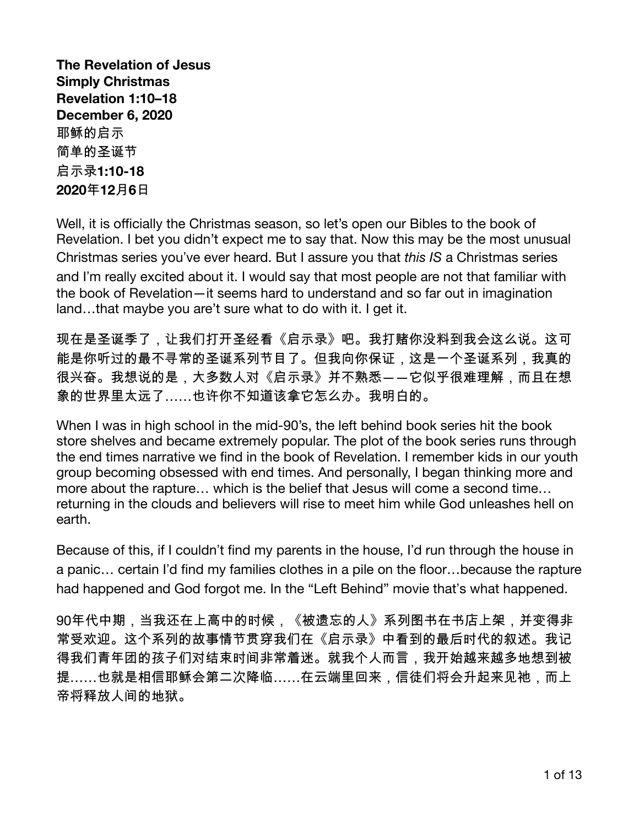The Revelation of Jesus **Simply Christmas** Revelation 1:10-18 **December 6, 2020** 耶稣的启示 简单的圣诞节 启示录**1:10-18** 2020年12月6日

Well, it is officially the Christmas season, so let's open our Bibles to the book of Revelation. I bet you didn't expect me to say that. Now this may be the most unusual Christmas series you've ever heard. But I assure you that this IS a Christmas series and I'm really excited about it. I would say that most people are not that familiar with the book of Revelation-it seems hard to understand and so far out in imagination land...that maybe you are't sure what to do with it. I get it.

现在是圣诞季了,让我们打开圣经看《启示录》吧。我打赌你没料到我会这么说。这可 能是你听过的最不寻常的圣诞系列节目了。但我向你保证,这是一个圣诞系列,我真的 很兴奋。我想说的是,大多数人对《启示录》并不熟悉――它似乎很难理解,而且在想 象的世界里太远了……也许你不知道该拿它怎么办。我明白的。

When I was in high school in the mid-90's, the left behind book series hit the book store shelves and became extremely popular. The plot of the book series runs through the end times narrative we find in the book of Revelation. I remember kids in our youth group becoming obsessed with end times. And personally, I began thinking more and more about the rapture... which is the belief that Jesus will come a second time... returning in the clouds and believers will rise to meet him while God unleashes hell on earth.

Because of this, if I couldn't find my parents in the house, I'd run through the house in a panic... certain I'd find my families clothes in a pile on the floor...because the rapture had happened and God forgot me. In the "Left Behind" movie that's what happened.

90年代中期,当我还在上高中的时候,《被遗忘的人》系列图书在书店上架,并变得非 常受欢迎。这个系列的故事情节贯穿我们在《启示录》中看到的最后时代的叙述。我记 得我们青年团的孩子们对结束时间非常着迷。就我个人而言,我开始越来越多地想到被 提……也就是相信耶稣会第二次降临……在云端里回来,信徒们将会升起来见祂,而上 帝将释放人间的地狱。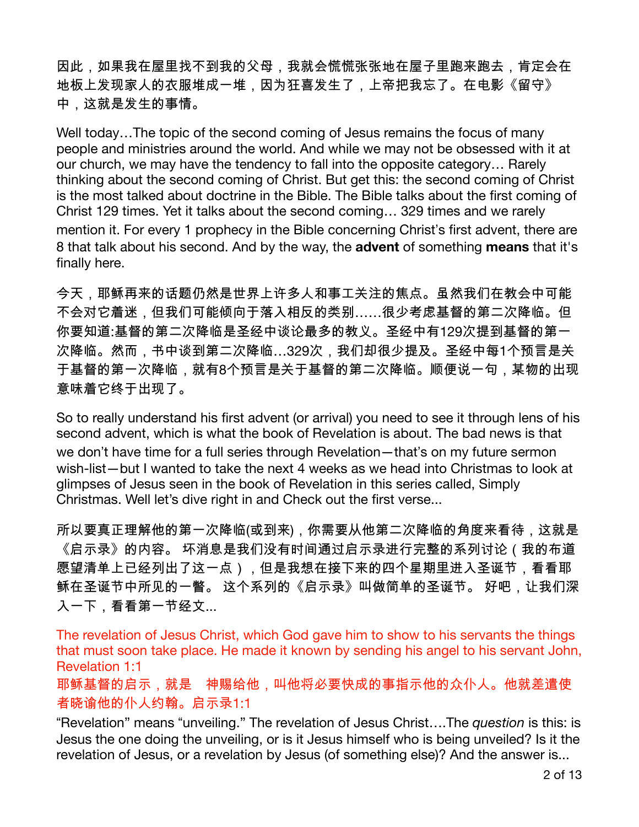因此,如果我在屋里找不到我的父母,我就会慌慌张张地在屋子里跑来跑去,肯定会在 地板上发现家人的衣服堆成一堆,因为狂喜发生了,上帝把我忘了。在电影《留守》 中,这就是发生的事情。

Well today...The topic of the second coming of Jesus remains the focus of many people and ministries around the world. And while we may not be obsessed with it at our church, we may have the tendency to fall into the opposite category... Rarely thinking about the second coming of Christ. But get this: the second coming of Christ is the most talked about doctrine in the Bible. The Bible talks about the first coming of Christ 129 times. Yet it talks about the second coming... 329 times and we rarely mention it. For every 1 prophecy in the Bible concerning Christ's first advent, there are 8 that talk about his second. And by the way, the **advent** of something means that it's finally here.

今天,耶稣再来的话题仍然是世界上许多人和事工关注的焦点。虽然我们在教会中可能 不会对它着迷,但我们可能倾向于落入相反的类别……很少考虑基督的第二次降临。但 你要知道:基督的第二次降临是圣经中谈论最多的教义。圣经中有129次提到基督的第一 次降临。然而,书中谈到第二次降临…329次,我们却很少提及。圣经中每1个预言是关 于基督的第一次降临,就有8个预言是关于基督的第二次降临。顺便说一句,某物的出现 意味着它终于出现了。

So to really understand his first advent (or arrival) you need to see it through lens of his second advent, which is what the book of Revelation is about. The bad news is that we don't have time for a full series through Revelation-that's on my future sermon wish-list-but I wanted to take the next 4 weeks as we head into Christmas to look at glimpses of Jesus seen in the book of Revelation in this series called, Simply Christmas. Well let's dive right in and Check out the first verse...

所以要真正理解他的第一次降临(或到来),你需要从他第二次降临的角度来看待,这就是 《启示录》的内容。 坏消息是我们没有时间通过启示录进行完整的系列讨论(我的布道 愿望清单上已经列出了这一点),但是我想在接下来的四个星期里进入圣诞节,看看耶 稣在圣诞节中所见的一瞥。 这个系列的《启示录》叫做简单的圣诞节。 好吧,让我们深 入一下,看看第一节经文...

The revelation of Jesus Christ, which God gave him to show to his servants the things that must soon take place. He made it known by sending his angel to his servant John, **Revelation 1:1** 

耶稣基督的启示,就是 神赐给他,叫他将必要快成的事指示他的众仆人。他就差遣使 者晓谕他的仆人约翰。启示录1:1

"Revelation" means "unveiling." The revelation of Jesus Christ....The question is this: is Jesus the one doing the unveiling, or is it Jesus himself who is being unveiled? Is it the revelation of Jesus, or a revelation by Jesus (of something else)? And the answer is...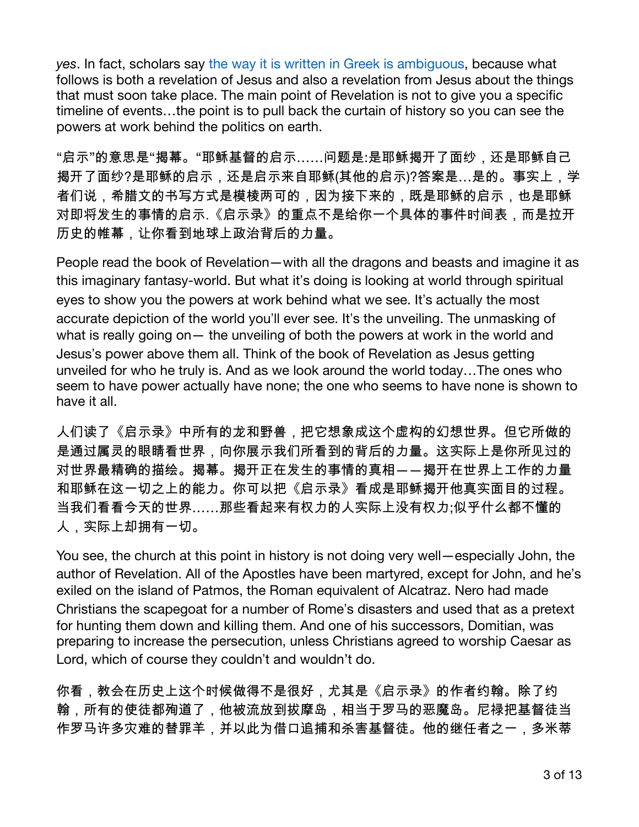yes. In fact, scholars say the way it is written in Greek is ambiguous, because what follows is both a revelation of Jesus and also a revelation from Jesus about the things that must soon take place. The main point of Revelation is not to give you a specific timeline of events...the point is to pull back the curtain of history so you can see the powers at work behind the politics on earth.

"启示"的意思是"揭幕。"耶稣基督的启示……问题是:是耶稣揭开了面纱,还是耶稣自己 揭开了面纱?是耶稣的启示,还是启示来自耶稣(其他的启示)?答案是…是的。事实上,学 者们说,希腊文的书写方式是模棱两可的,因为接下来的,既是耶稣的启示,也是耶稣 对即将发生的事情的启示,《启示录》的重点不是给你一个具体的事件时间表,而是拉开 历史的帷幕,让你看到地球上政治背后的力量。

People read the book of Revelation – with all the dragons and beasts and imagine it as this imaginary fantasy-world. But what it's doing is looking at world through spiritual eyes to show you the powers at work behind what we see. It's actually the most accurate depiction of the world you'll ever see. It's the unveiling. The unmasking of what is really going on — the unveiling of both the powers at work in the world and Jesus's power above them all. Think of the book of Revelation as Jesus getting unveiled for who he truly is. And as we look around the world today...The ones who seem to have power actually have none; the one who seems to have none is shown to have it all.

人们读了《启示录》中所有的龙和野兽,把它想象成这个虚构的幻想世界。但它所做的 是通过属灵的眼睛看世界,向你展示我们所看到的背后的力量。这实际上是你所见过的 对世界最精确的描绘。揭幕。揭开正在发生的事情的真相――揭开在世界上工作的力量 和耶稣在这一切之上的能力。你可以把《启示录》看成是耶稣揭开他真实面目的过程。 当我们看看今天的世界……那些看起来有权力的人实际上没有权力;似乎什么都不懂的 人,实际上却拥有一切。

You see, the church at this point in history is not doing very well—especially John, the author of Revelation. All of the Apostles have been martyred, except for John, and he's exiled on the island of Patmos, the Roman equivalent of Alcatraz. Nero had made Christians the scapegoat for a number of Rome's disasters and used that as a pretext for hunting them down and killing them. And one of his successors, Domitian, was preparing to increase the persecution, unless Christians agreed to worship Caesar as Lord, which of course they couldn't and wouldn't do.

你看,教会在历史上这个时候做得不是很好,尤其是《启示录》的作者约翰。除了约 翰,所有的使徒都殉道了,他被流放到拔摩岛,相当于罗马的恶魔岛。尼禄把基督徒当 作罗马许多灾难的替罪羊,并以此为借口追捕和杀害基督徒。他的继任者之一,多米蒂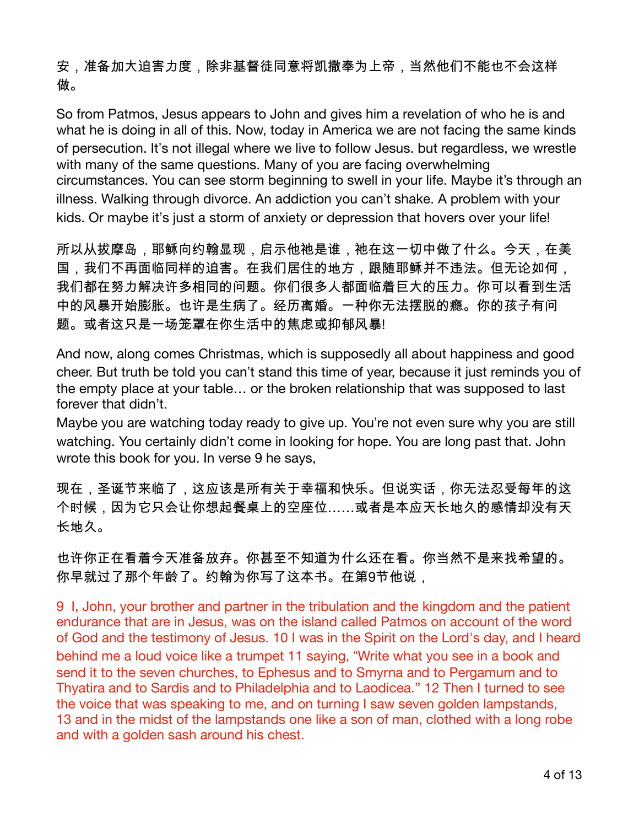安,准备加大迫害力度,除非基督徒同意将凯撒奉为上帝,当然他们不能也不会这样 做。

So from Patmos, Jesus appears to John and gives him a revelation of who he is and what he is doing in all of this. Now, today in America we are not facing the same kinds of persecution. It's not illegal where we live to follow Jesus, but regardless, we wrestle with many of the same questions. Many of you are facing overwhelming circumstances. You can see storm beginning to swell in your life. Maybe it's through an illness. Walking through divorce. An addiction you can't shake. A problem with your kids. Or maybe it's just a storm of anxiety or depression that hovers over your life!

所以从拔摩岛,耶稣向约翰显现,启示他祂是谁,祂在这一切中做了什么。今天,在美 国,我们不再面临同样的迫害。在我们居住的地方,跟随耶稣并不违法。但无论如何, 我们都在努力解决许多相同的问题。你们很多人都面临着巨大的压力。你可以看到生活 中的风暴开始膨胀。也许是生病了。经历离婚。一种你无法摆脱的瘾。你的孩子有问 题。或者这只是一场笼罩在你生活中的焦虑或抑郁风暴!

And now, along comes Christmas, which is supposedly all about happiness and good cheer. But truth be told you can't stand this time of year, because it just reminds you of the empty place at your table... or the broken relationship that was supposed to last forever that didn't.

Maybe you are watching today ready to give up. You're not even sure why you are still watching. You certainly didn't come in looking for hope. You are long past that. John wrote this book for you. In verse 9 he says,

现在,圣诞节来临了,这应该是所有关于幸福和快乐。但说实话,你无法忍受每年的这 个时候,因为它只会让你想起餐桌上的空座位……或者是本应天长地久的感情却没有天 长地久。

也许你正在看着今天准备放弃。你甚至不知道为什么还在看。你当然不是来找希望的。 你早就过了那个年龄了。约翰为你写了这本书。在第9节他说,

9 I, John, your brother and partner in the tribulation and the kingdom and the patient endurance that are in Jesus, was on the island called Patmos on account of the word of God and the testimony of Jesus. 10 I was in the Spirit on the Lord's day, and I heard behind me a loud voice like a trumpet 11 saying, "Write what you see in a book and send it to the seven churches, to Ephesus and to Smyrna and to Pergamum and to Thyatira and to Sardis and to Philadelphia and to Laodicea." 12 Then I turned to see the voice that was speaking to me, and on turning I saw seven golden lampstands, 13 and in the midst of the lampstands one like a son of man, clothed with a long robe and with a golden sash around his chest.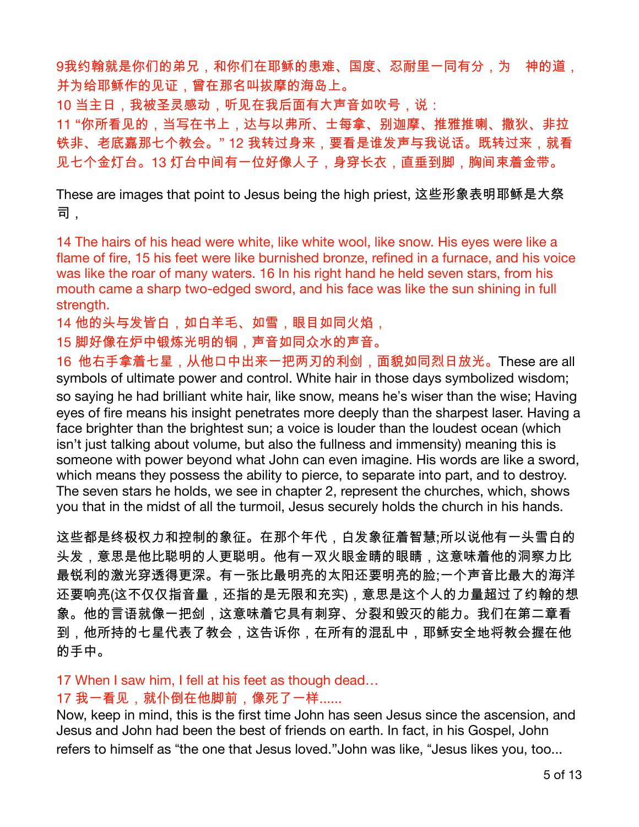9我约翰就是你们的弟兄,和你们在耶稣的患难、国度、忍耐里一同有分,为 神的道, 并为给耶稣作的见证,曾在那名叫拔摩的海岛上。

10 当主日,我被圣灵感动,听见在我后面有大声音如吹号,说:

11 "你所看见的,当写在书上,达与以弗所、士每拿、别迦摩、推雅推喇、撒狄、非拉 铁非、老底嘉那七个教会。"12 我转过身来,要看是谁发声与我说话。既转过来,就看 见七个金灯台。13 灯台中间有一位好像人子,身穿长衣,直垂到脚,胸间束着金带。

These are images that point to Jesus being the high priest, 这些形象表明耶稣是大祭 司.

14 The hairs of his head were white, like white wool, like snow. His eyes were like a flame of fire, 15 his feet were like burnished bronze, refined in a furnace, and his voice was like the roar of many waters. 16 In his right hand he held seven stars, from his mouth came a sharp two-edged sword, and his face was like the sun shining in full strength.

14 他的头与发皆白,如白羊毛、如雪,眼目如同火焰,

15 脚好像在炉中锻炼光明的铜,声音如同众水的声音。

16 他右手拿着七星,从他口中出来一把两刃的利剑,面貌如同烈日放光。These are all symbols of ultimate power and control. White hair in those days symbolized wisdom; so saying he had brilliant white hair, like snow, means he's wiser than the wise; Having eyes of fire means his insight penetrates more deeply than the sharpest laser. Having a face brighter than the brightest sun; a voice is louder than the loudest ocean (which isn't just talking about volume, but also the fullness and immensity) meaning this is someone with power beyond what John can even imagine. His words are like a sword, which means they possess the ability to pierce, to separate into part, and to destroy. The seven stars he holds, we see in chapter 2, represent the churches, which, shows you that in the midst of all the turmoil, Jesus securely holds the church in his hands.

这些都是终极权力和控制的象征。在那个年代,白发象征着智慧;所以说他有一头雪白的 头发,意思是他比聪明的人更聪明。他有一双火眼金睛的眼睛,这意味着他的洞察力比 最锐利的激光穿透得更深。有一张比最明亮的太阳还要明亮的脸;一个声音比最大的海洋 还要响亮(这不仅仅指音量,还指的是无限和充实),意思是这个人的力量超过了约翰的想 象。他的言语就像一把剑,这意味着它具有刺穿、分裂和毁灭的能力。我们在第二章看 到,他所持的七星代表了教会,这告诉你,在所有的混乱中,耶稣安全地将教会握在他 的手中。

17 When I saw him, I fell at his feet as though dead...

## 17 我一看见,就仆倒在他脚前,像死了一样......

Now, keep in mind, this is the first time John has seen Jesus since the ascension, and Jesus and John had been the best of friends on earth. In fact, in his Gospel, John refers to himself as "the one that Jesus loved." John was like, "Jesus likes you, too...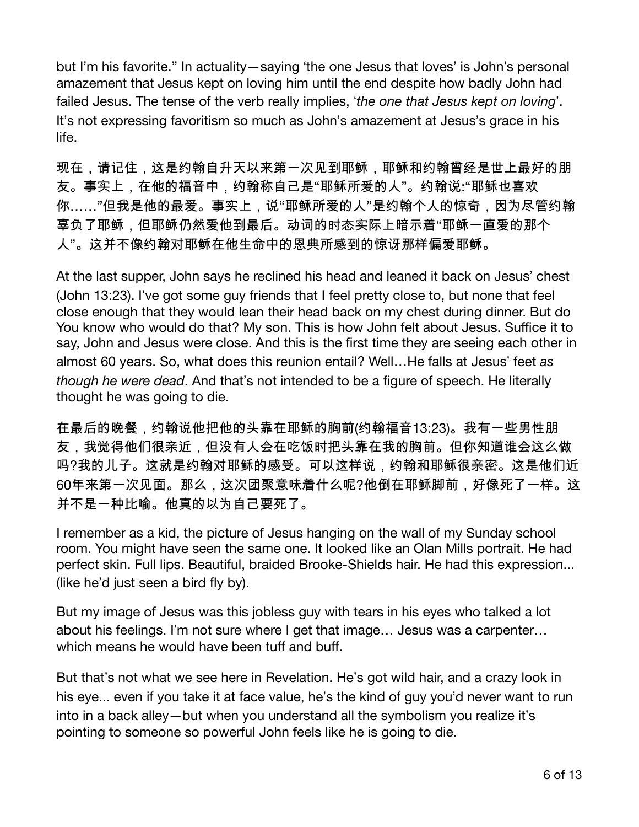but I'm his favorite." In actuality—saying 'the one Jesus that loves' is John's personal amazement that Jesus kept on loving him until the end despite how badly John had failed Jesus. The tense of the verb really implies, 'the one that Jesus kept on loving'. It's not expressing favoritism so much as John's amazement at Jesus's grace in his life.

现在,请记住,这是约翰自升天以来第一次见到耶稣,耶稣和约翰曾经是世上最好的朋 友。事实上,在他的福音中,约翰称自己是"耶稣所爱的人"。约翰说:"耶稣也喜欢 你……"但我是他的最爱。事实上,说"耶稣所爱的人"是约翰个人的惊奇,因为尽管约翰 辜负了耶稣,但耶稣仍然爱他到最后。动词的时态实际上暗示着"耶稣一直爱的那个 人"。这并不像约翰对耶稣在他生命中的恩典所感到的惊讶那样偏爱耶稣。

At the last supper, John says he reclined his head and leaned it back on Jesus' chest (John 13:23). I've got some guy friends that I feel pretty close to, but none that feel close enough that they would lean their head back on my chest during dinner. But do You know who would do that? My son. This is how John felt about Jesus. Suffice it to say, John and Jesus were close. And this is the first time they are seeing each other in almost 60 years. So, what does this reunion entail? Well... He falls at Jesus' feet as though he were dead. And that's not intended to be a figure of speech. He literally thought he was going to die.

在最后的晚餐,约翰说他把他的头靠在耶稣的胸前(约翰福音13:23)。我有一些男性朋 友,我觉得他们很亲近,但没有人会在吃饭时把头靠在我的胸前。但你知道谁会这么做 吗?我的儿子。这就是约翰对耶稣的感受。可以这样说,约翰和耶稣很亲密。这是他们近 60年来第一次见面。那么,这次团聚意味着什么呢?他倒在耶稣脚前,好像死了一样。这 并不是一种比喻。他真的以为自己要死了。

I remember as a kid, the picture of Jesus hanging on the wall of my Sunday school room. You might have seen the same one. It looked like an Olan Mills portrait. He had perfect skin. Full lips. Beautiful, braided Brooke-Shields hair. He had this expression... (like he'd just seen a bird fly by).

But my image of Jesus was this jobless guy with tears in his eyes who talked a lot about his feelings. I'm not sure where I get that image... Jesus was a carpenter... which means he would have been tuff and buff.

But that's not what we see here in Revelation. He's got wild hair, and a crazy look in his eye... even if you take it at face value, he's the kind of guy you'd never want to run into in a back alley—but when you understand all the symbolism you realize it's pointing to someone so powerful John feels like he is going to die.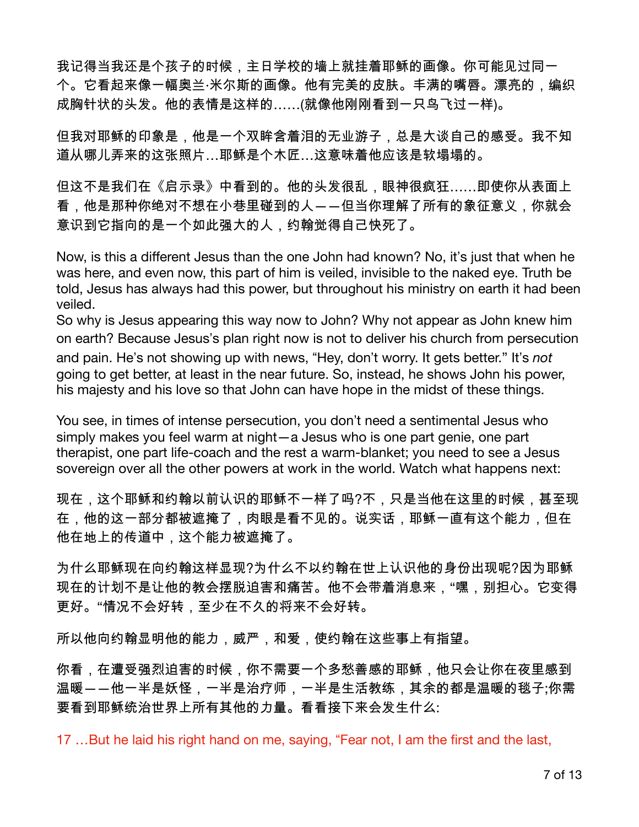我记得当我还是个孩子的时候,主日学校的墙上就挂着耶稣的画像。你可能见过同一 个。它看起来像一幅奥兰·米尔斯的画像。他有完美的皮肤。丰满的嘴唇。漂亮的,编织 成胸针状的头发。他的表情是这样的……(就像他刚刚看到一只鸟飞过一样)。

但我对耶稣的印象是,他是一个双眸含着泪的无业游子,总是大谈自己的感受。我不知 道从哪儿弄来的这张照片…耶稣是个木匠…这意味着他应该是软塌塌的。

但这不是我们在《启示录》中看到的。他的头发很乱,眼神很疯狂……即使你从表面上 看,他是那种你绝对不想在小巷里碰到的人――但当你理解了所有的象征意义,你就会 意识到它指向的是一个如此强大的人,约翰觉得自己快死了。

Now, is this a different Jesus than the one John had known? No, it's just that when he was here, and even now, this part of him is veiled, invisible to the naked eye. Truth be told, Jesus has always had this power, but throughout his ministry on earth it had been veiled.

So why is Jesus appearing this way now to John? Why not appear as John knew him on earth? Because Jesus's plan right now is not to deliver his church from persecution and pain. He's not showing up with news, "Hey, don't worry. It gets better." It's not going to get better, at least in the near future. So, instead, he shows John his power, his majesty and his love so that John can have hope in the midst of these things.

You see, in times of intense persecution, you don't need a sentimental Jesus who simply makes you feel warm at night - a Jesus who is one part genie, one part therapist, one part life-coach and the rest a warm-blanket; you need to see a Jesus sovereign over all the other powers at work in the world. Watch what happens next:

现在,这个耶稣和约翰以前认识的耶稣不一样了吗?不,只是当他在这里的时候,甚至现 在,他的这一部分都被遮掩了,肉眼是看不见的。说实话,耶稣一直有这个能力,但在 他在地上的传道中,这个能力被遮掩了。

为什么耶稣现在向约翰这样显现?为什么不以约翰在世上认识他的身份出现呢?因为耶稣 现在的计划不是让他的教会摆脱迫害和痛苦。他不会带着消息来,"嘿,别担心。它变得 更好。"情况不会好转,至少在不久的将来不会好转。

所以他向约翰显明他的能力,威严,和爱,使约翰在这些事上有指望。

你看,在遭受强烈迫害的时候,你不需要一个多愁善感的耶稣,他只会让你在夜里感到 温暖――他一半是妖怪,一半是治疗师,一半是生活教练,其余的都是温暖的毯子;你需 要看到耶稣统治世界上所有其他的力量。看看接下来会发生什么:

17 ... But he laid his right hand on me, saying, "Fear not, I am the first and the last,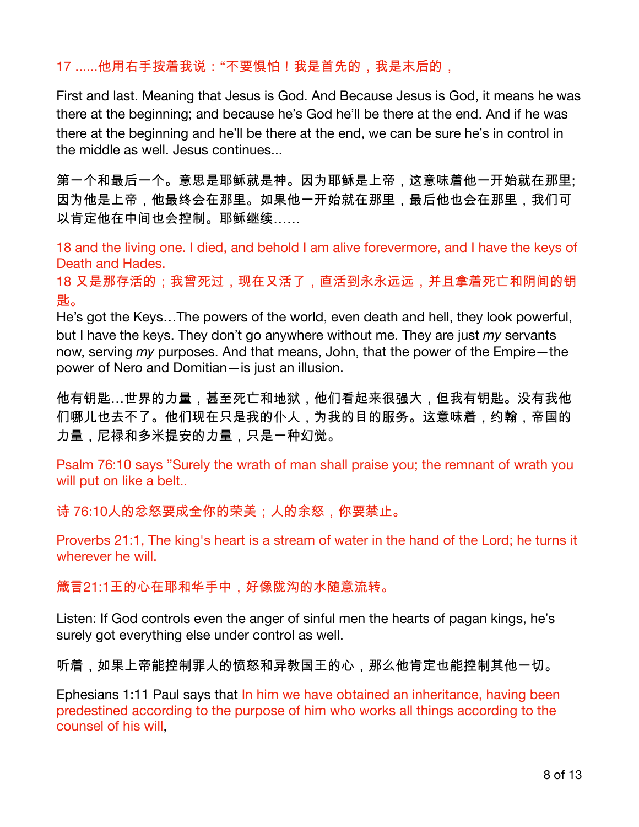## 17 ......他用右手按着我说:"不要惧怕!我是首先的,我是末后的,

First and last. Meaning that Jesus is God. And Because Jesus is God, it means he was there at the beginning; and because he's God he'll be there at the end. And if he was there at the beginning and he'll be there at the end, we can be sure he's in control in the middle as well. Jesus continues...

第一个和最后一个。意思是耶稣就是神。因为耶稣是上帝,这意味着他一开始就在那里; 因为他是上帝,他最终会在那里。如果他一开始就在那里,最后他也会在那里,我们可 以肯定他在中间也会控制。耶稣继续……

18 and the living one. I died, and behold I am alive forevermore, and I have the keys of Death and Hades.

18 又是那存活的;我曾死过,现在又活了,直活到永永远远,并且拿着死亡和阴间的钥 匙。

He's got the Keys...The powers of the world, even death and hell, they look powerful, but I have the keys. They don't go anywhere without me. They are just my servants now, serving my purposes. And that means, John, that the power of the Empire-the power of Nero and Domitian-is just an illusion.

他有钥匙…世界的力量,甚至死亡和地狱,他们看起来很强大,但我有钥匙。没有我他 们哪儿也去不了。他们现在只是我的仆人,为我的目的服务。这意味着,约翰,帝国的 力量,尼禄和多米提安的力量,只是一种幻觉。

Psalm 76:10 says "Surely the wrath of man shall praise you; the remnant of wrath you will put on like a belt..

诗 76:10人的忿怒要成全你的荣美;人的余怒,你要禁止。

Proverbs 21:1, The king's heart is a stream of water in the hand of the Lord; he turns it wherever he will.

箴言21:1王的心在耶和华手中,好像陇沟的水随意流转。

Listen: If God controls even the anger of sinful men the hearts of pagan kings, he's surely got everything else under control as well.

听着,如果上帝能控制罪人的愤怒和异教国王的心,那么他肯定也能控制其他一切。

Ephesians 1:11 Paul says that In him we have obtained an inheritance, having been predestined according to the purpose of him who works all things according to the counsel of his will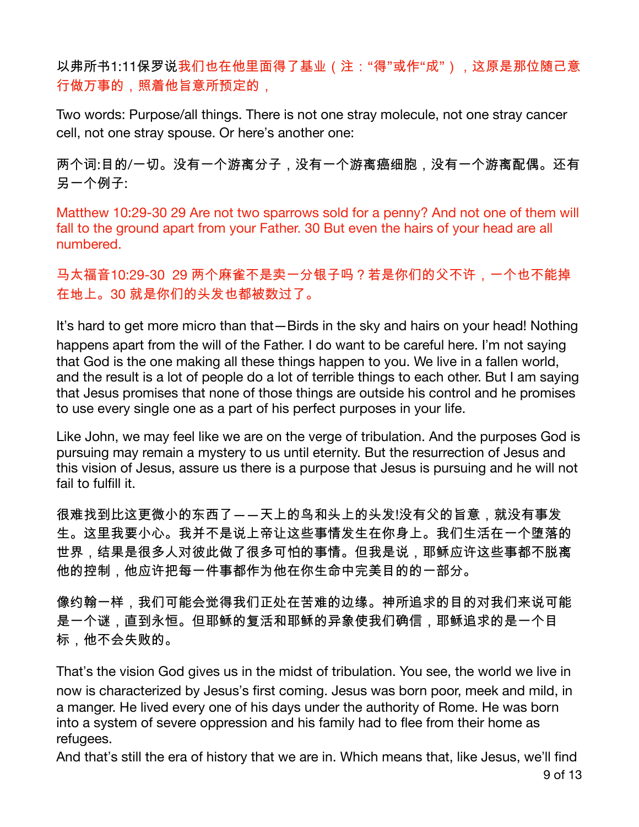以弗所书1:11保罗说我们也在他里面得了基业(注:"得"或作"成"),这原是那位随己意 行做万事的,照着他旨意所预定的,

Two words: Purpose/all things. There is not one stray molecule, not one stray cancer cell, not one stray spouse. Or here's another one:

两个词:目的/一切。没有一个游离分子,没有一个游离癌细胞,没有一个游离配偶。还有 另一个例子:

Matthew 10:29-30 29 Are not two sparrows sold for a penny? And not one of them will fall to the ground apart from your Father. 30 But even the hairs of your head are all numbered.

马太福音10:29-30\_29 两个麻雀不是卖一分银子吗?若是你们的父不许,一个也不能掉 在地上。30 就是你们的头发也都被数过了。

It's hard to get more micro than that—Birds in the sky and hairs on your head! Nothing happens apart from the will of the Father. I do want to be careful here. I'm not saying that God is the one making all these things happen to you. We live in a fallen world, and the result is a lot of people do a lot of terrible things to each other. But I am saying that Jesus promises that none of those things are outside his control and he promises to use every single one as a part of his perfect purposes in your life.

Like John, we may feel like we are on the verge of tribulation. And the purposes God is pursuing may remain a mystery to us until eternity. But the resurrection of Jesus and this vision of Jesus, assure us there is a purpose that Jesus is pursuing and he will not fail to fulfill it.

很难找到比这更微小的东西了――天上的鸟和头上的头发!没有父的旨意,就没有事发 生。这里我要小心。我并不是说上帝让这些事情发生在你身上。我们生活在一个堕落的 世界,结果是很多人对彼此做了很多可怕的事情。但我是说,耶稣应许这些事都不脱离 他的控制,他应许把每一件事都作为他在你生命中完美目的的一部分。

像约翰一样,我们可能会觉得我们正处在苦难的边缘。神所追求的目的对我们来说可能 是一个谜,直到永恒。但耶稣的复活和耶稣的异象使我们确信,耶稣追求的是一个目 标,他不会失败的。

That's the vision God gives us in the midst of tribulation. You see, the world we live in now is characterized by Jesus's first coming. Jesus was born poor, meek and mild, in a manger. He lived every one of his days under the authority of Rome. He was born into a system of severe oppression and his family had to flee from their home as refugees.

And that's still the era of history that we are in. Which means that, like Jesus, we'll find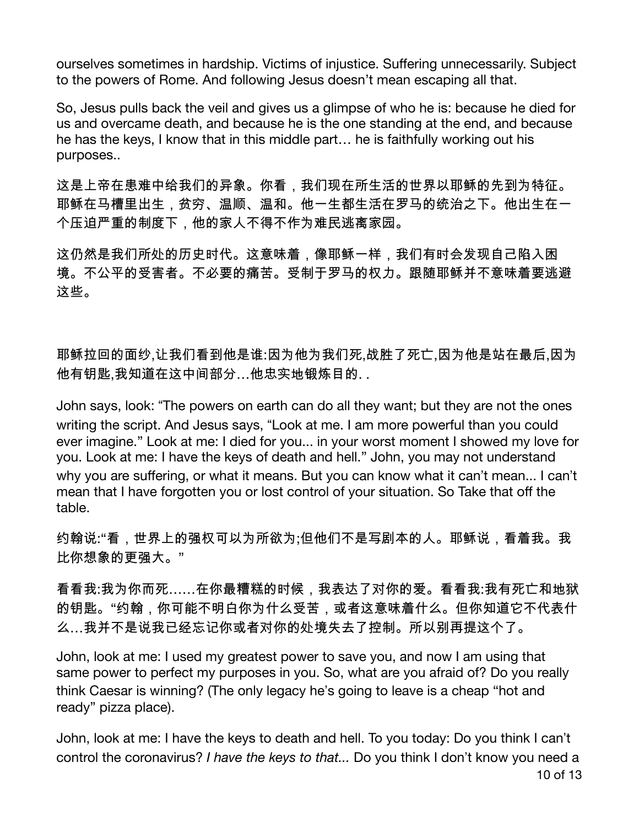ourselves sometimes in hardship. Victims of injustice. Suffering unnecessarily. Subject to the powers of Rome. And following Jesus doesn't mean escaping all that.

So, Jesus pulls back the veil and gives us a glimpse of who he is: because he died for us and overcame death, and because he is the one standing at the end, and because he has the keys, I know that in this middle part... he is faithfully working out his purposes..

这是上帝在患难中给我们的异象。你看,我们现在所生活的世界以耶稣的先到为特征。 耶稣在马槽里出生,贫穷、温顺、温和。他一生都生活在罗马的统治之下。他出生在一 个压迫严重的制度下,他的家人不得不作为难民逃离家园。

这仍然是我们所处的历史时代。这意味着,像耶稣一样,我们有时会发现自己陷入困 境。不公平的受害者。不必要的痛苦。受制于罗马的权力。跟随耶稣并不意味着要逃避 汶些。

耶稣拉回的面纱,让我们看到他是谁:因为他为我们死,战胜了死亡,因为他是站在最后,因为 他有钥匙,我知道在这中间部分...他忠实地锻炼目的...

John says, look: "The powers on earth can do all they want; but they are not the ones writing the script. And Jesus says, "Look at me. I am more powerful than you could ever imagine." Look at me: I died for you... in your worst moment I showed my love for you. Look at me: I have the keys of death and hell." John, you may not understand why you are suffering, or what it means. But you can know what it can't mean... I can't mean that I have forgotten you or lost control of your situation. So Take that off the table

约翰说:"看,世界上的强权可以为所欲为;但他们不是写剧本的人。耶稣说,看着我。我 比你想象的更强大。"

看看我:我为你而死……在你最糟糕的时候,我表达了对你的爱。看看我:我有死亡和地狱 的钥匙。"约翰,你可能不明白你为什么受苦,或者这意味着什么。但你知道它不代表什 么…我并不是说我已经忘记你或者对你的处境失去了控制。所以别再提这个了。

John, look at me: I used my greatest power to save you, and now I am using that same power to perfect my purposes in you. So, what are you afraid of? Do you really think Caesar is winning? (The only legacy he's going to leave is a cheap "hot and ready" pizza place).

John, look at me: I have the keys to death and hell. To you today: Do you think I can't control the coronavirus? I have the keys to that... Do you think I don't know you need a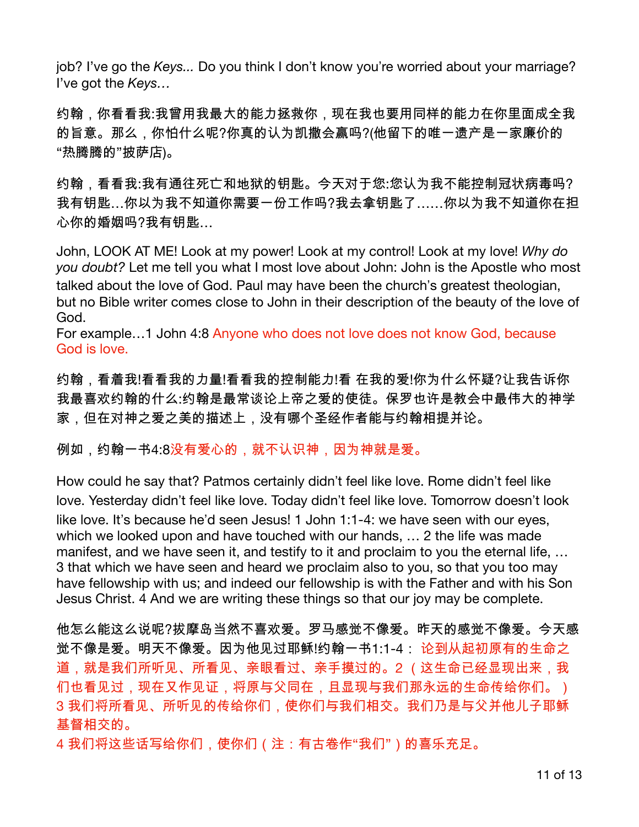job? I've go the Keys... Do you think I don't know you're worried about your marriage? I've got the Keys...

约翰,你看看我:我曾用我最大的能力拯救你,现在我也要用同样的能力在你里面成全我 的旨意。那么,你怕什么呢?你真的认为凯撒会赢吗?(他留下的唯一遗产是一家廉价的 "热腾腾的"披萨店)。

约翰,看看我:我有通往死亡和地狱的钥匙。今天对于您:您认为我不能控制冠状病毒吗? 我有钥匙…你以为我不知道你需要一份工作吗?我去拿钥匙了……你以为我不知道你在担 心你的婚姻吗?我有钥匙...

John, LOOK AT ME! Look at my power! Look at my control! Look at my love! Why do you doubt? Let me tell you what I most love about John: John is the Apostle who most talked about the love of God. Paul may have been the church's greatest theologian, but no Bible writer comes close to John in their description of the beauty of the love of God.

For example...1 John 4:8 Anyone who does not love does not know God, because God is love.

约翰,看着我!看看我的力量!看看我的控制能力!看 在我的爱!你为什么怀疑?让我告诉你 我最喜欢约翰的什么:约翰是最常谈论上帝之爱的使徒。保罗也许是教会中最伟大的神学 家,但在对神之爱之美的描述上,没有哪个圣经作者能与约翰相提并论。

例如,约翰一书4:8没有爱心的,就不认识神,因为神就是爱。

How could he say that? Patmos certainly didn't feel like love. Rome didn't feel like love. Yesterday didn't feel like love. Today didn't feel like love. Tomorrow doesn't look like love. It's because he'd seen Jesus! 1 John 1:1-4: we have seen with our eyes, which we looked upon and have touched with our hands, ... 2 the life was made manifest, and we have seen it, and testify to it and proclaim to you the eternal life, ... 3 that which we have seen and heard we proclaim also to you, so that you too may have fellowship with us; and indeed our fellowship is with the Father and with his Son Jesus Christ. 4 And we are writing these things so that our joy may be complete.

他怎么能这么说呢?拔摩岛当然不喜欢爱。罗马感觉不像爱。昨天的感觉不像爱。今天感 觉不像是爱。明天不像爱。因为他见过耶稣!约翰一书1:1-4: 论到从起初原有的生命之 道,就是我们所听见、所看见、亲眼看过、亲手摸过的。2 (这生命已经显现出来,我 们也看见过,现在又作见证,将原与父同在,且显现与我们那永远的生命传给你们。) 3 我们将所看见、所听见的传给你们,使你们与我们相交。我们乃是与父并他儿子耶稣 基督相交的。

4 我们将这些话写给你们,使你们(注:有古卷作"我们")的喜乐充足。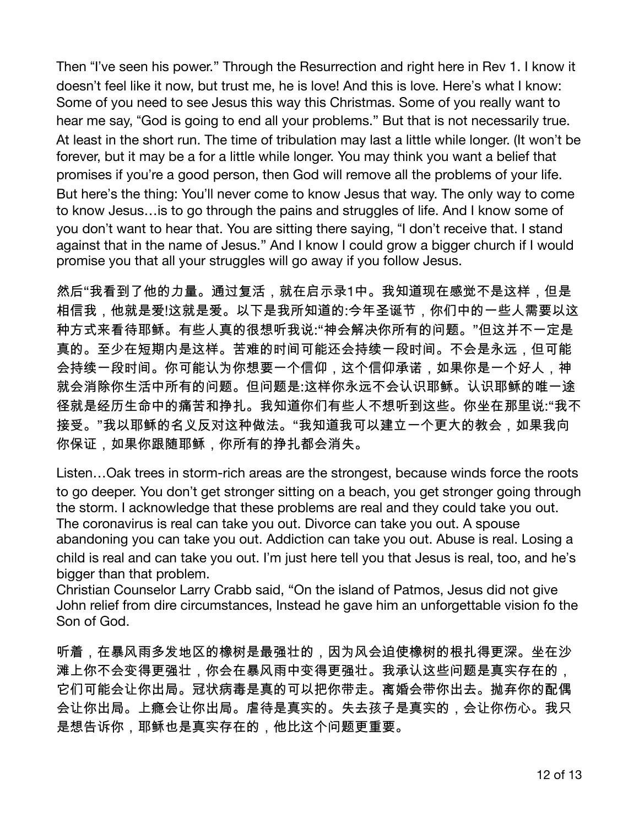Then "I've seen his power." Through the Resurrection and right here in Rev 1. I know it doesn't feel like it now, but trust me, he is love! And this is love. Here's what I know: Some of you need to see Jesus this way this Christmas. Some of you really want to hear me say, "God is going to end all your problems." But that is not necessarily true. At least in the short run. The time of tribulation may last a little while longer. (It won't be forever, but it may be a for a little while longer. You may think you want a belief that promises if you're a good person, then God will remove all the problems of your life. But here's the thing: You'll never come to know Jesus that way. The only way to come to know Jesus... is to go through the pains and struggles of life. And I know some of you don't want to hear that. You are sitting there saying, "I don't receive that. I stand against that in the name of Jesus." And I know I could grow a bigger church if I would promise you that all your struggles will go away if you follow Jesus.

然后"我看到了他的力量。通过复活,就在启示录1中。我知道现在感觉不是这样,但是 相信我,他就是爱!这就是爱。以下是我所知道的:今年圣诞节,你们中的一些人需要以这 种方式来看待耶稣。有些人真的很想听我说:"神会解决你所有的问题。"但这并不一定是 真的。至少在短期内是这样。苦难的时间可能还会持续一段时间。不会是永远,但可能 会持续一段时间。你可能认为你想要一个信仰,这个信仰承诺,如果你是一个好人,神 就会消除你生活中所有的问题。但问题是:这样你永远不会认识耶稣。认识耶稣的唯一途 径就是经历生命中的痛苦和挣扎。我知道你们有些人不想听到这些。你坐在那里说:"我不 接受。"我以耶稣的名义反对这种做法。"我知道我可以建立一个更大的教会,如果我向 你保证,如果你跟随耶稣,你所有的挣扎都会消失。

Listen...Oak trees in storm-rich areas are the strongest, because winds force the roots to go deeper. You don't get stronger sitting on a beach, you get stronger going through the storm. I acknowledge that these problems are real and they could take you out. The coronavirus is real can take you out. Divorce can take you out. A spouse abandoning you can take you out. Addiction can take you out. Abuse is real. Losing a child is real and can take you out. I'm just here tell you that Jesus is real, too, and he's bigger than that problem.

Christian Counselor Larry Crabb said, "On the island of Patmos, Jesus did not give John relief from dire circumstances, Instead he gave him an unforgettable vision fo the Son of God.

听着,在暴风雨多发地区的橡树是最强壮的,因为风会迫使橡树的根扎得更深。坐在沙 滩上你不会变得更强壮,你会在暴风雨中变得更强壮。我承认这些问题是真实存在的, 它们可能会让你出局。冠状病毒是真的可以把你带走。离婚会带你出去。抛弃你的配偶 会让你出局。上瘾会让你出局。虐待是真实的。失去孩子是真实的,会让你伤心。我只 是想告诉你,耶稣也是真实存在的,他比这个问题更重要。